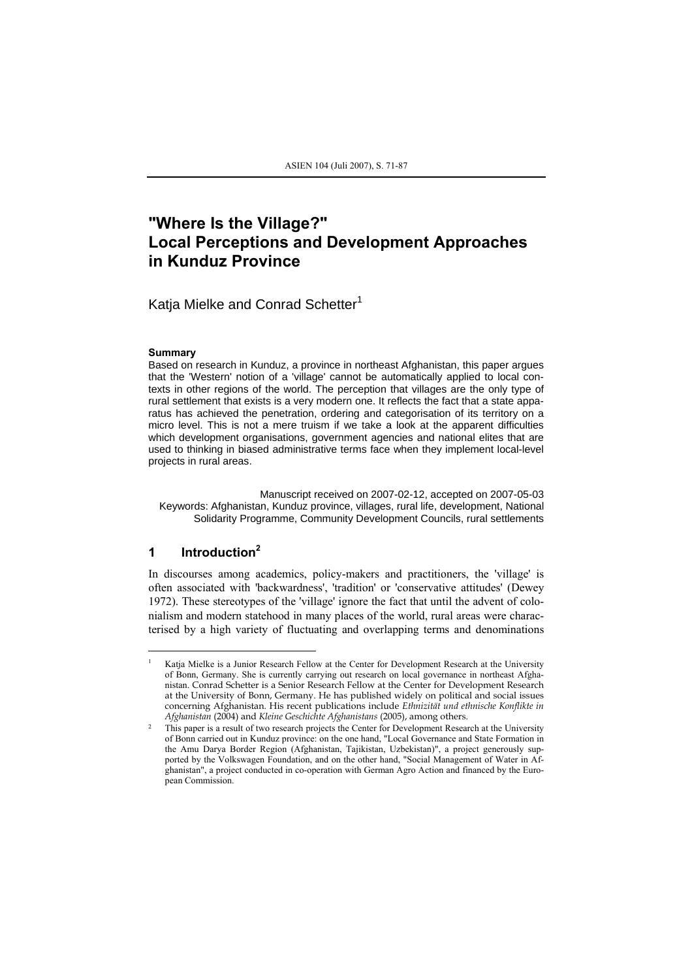# **"Where Is the Village?" Local Perceptions and Development Approaches in Kunduz Province**

Katia Mielke and Conrad Schetter<sup>1</sup>

#### **Summary**

Based on research in Kunduz, a province in northeast Afghanistan, this paper argues that the 'Western' notion of a 'village' cannot be automatically applied to local contexts in other regions of the world. The perception that villages are the only type of rural settlement that exists is a very modern one. It reflects the fact that a state apparatus has achieved the penetration, ordering and categorisation of its territory on a micro level. This is not a mere truism if we take a look at the apparent difficulties which development organisations, government agencies and national elites that are used to thinking in biased administrative terms face when they implement local-level projects in rural areas.

Manuscript received on 2007-02-12, accepted on 2007-05-03 Keywords: Afghanistan, Kunduz province, villages, rural life, development, National Solidarity Programme, Community Development Councils, rural settlements

## **1 Introduction<sup>2</sup>**

l

In discourses among academics, policy-makers and practitioners, the 'village' is often associated with 'backwardness', 'tradition' or 'conservative attitudes' (Dewey 1972). These stereotypes of the 'village' ignore the fact that until the advent of colonialism and modern statehood in many places of the world, rural areas were characterised by a high variety of fluctuating and overlapping terms and denominations

<sup>1</sup> Katja Mielke is a Junior Research Fellow at the Center for Development Research at the University of Bonn, Germany. She is currently carrying out research on local governance in northeast Afghanistan. Conrad Schetter is a Senior Research Fellow at the Center for Development Research at the University of Bonn, Germany. He has published widely on political and social issues concerning Afghanistan. His recent publications include *Ethnizität und ethnische Konflikte in Afghanistan* (2004) and *Kleine Geschichte Afghanistans* (2005), among others.

<sup>&</sup>lt;sup>2</sup> This paper is a result of two research projects the Center for Development Research at the University of Bonn carried out in Kunduz province: on the one hand, "Local Governance and State Formation in the Amu Darya Border Region (Afghanistan, Tajikistan, Uzbekistan)", a project generously supported by the Volkswagen Foundation, and on the other hand, "Social Management of Water in Afghanistan", a project conducted in co-operation with German Agro Action and financed by the European Commission.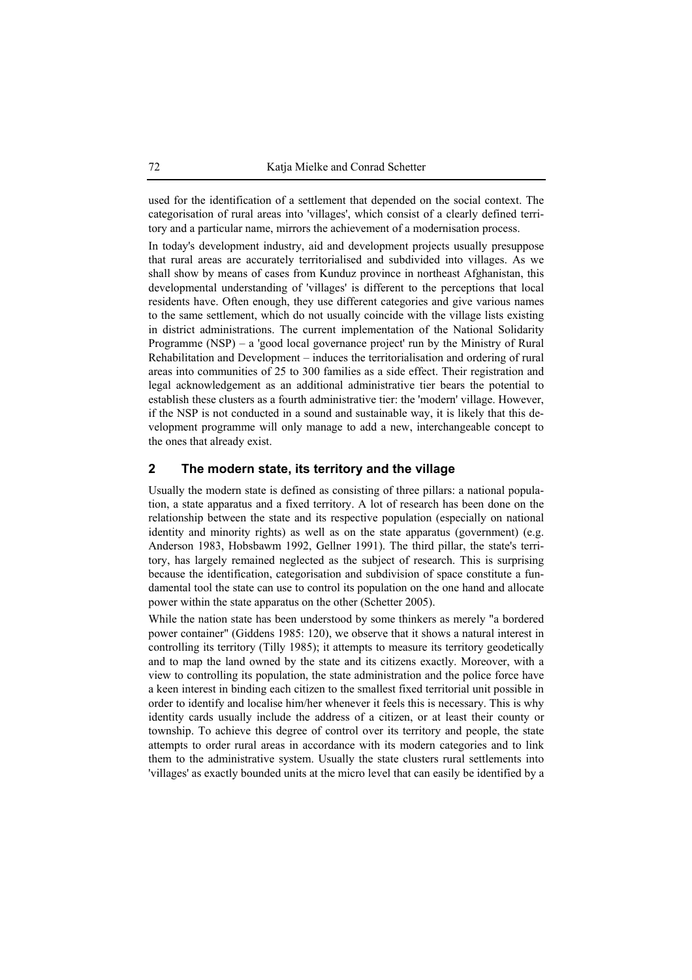used for the identification of a settlement that depended on the social context. The categorisation of rural areas into 'villages', which consist of a clearly defined territory and a particular name, mirrors the achievement of a modernisation process.

In today's development industry, aid and development projects usually presuppose that rural areas are accurately territorialised and subdivided into villages. As we shall show by means of cases from Kunduz province in northeast Afghanistan, this developmental understanding of 'villages' is different to the perceptions that local residents have. Often enough, they use different categories and give various names to the same settlement, which do not usually coincide with the village lists existing in district administrations. The current implementation of the National Solidarity Programme (NSP) – a 'good local governance project' run by the Ministry of Rural Rehabilitation and Development – induces the territorialisation and ordering of rural areas into communities of 25 to 300 families as a side effect. Their registration and legal acknowledgement as an additional administrative tier bears the potential to establish these clusters as a fourth administrative tier: the 'modern' village. However, if the NSP is not conducted in a sound and sustainable way, it is likely that this development programme will only manage to add a new, interchangeable concept to the ones that already exist.

# **2 The modern state, its territory and the village**

Usually the modern state is defined as consisting of three pillars: a national population, a state apparatus and a fixed territory. A lot of research has been done on the relationship between the state and its respective population (especially on national identity and minority rights) as well as on the state apparatus (government) (e.g. Anderson 1983, Hobsbawm 1992, Gellner 1991). The third pillar, the state's territory, has largely remained neglected as the subject of research. This is surprising because the identification, categorisation and subdivision of space constitute a fundamental tool the state can use to control its population on the one hand and allocate power within the state apparatus on the other (Schetter 2005).

While the nation state has been understood by some thinkers as merely "a bordered power container" (Giddens 1985: 120), we observe that it shows a natural interest in controlling its territory (Tilly 1985); it attempts to measure its territory geodetically and to map the land owned by the state and its citizens exactly. Moreover, with a view to controlling its population, the state administration and the police force have a keen interest in binding each citizen to the smallest fixed territorial unit possible in order to identify and localise him/her whenever it feels this is necessary. This is why identity cards usually include the address of a citizen, or at least their county or township. To achieve this degree of control over its territory and people, the state attempts to order rural areas in accordance with its modern categories and to link them to the administrative system. Usually the state clusters rural settlements into 'villages' as exactly bounded units at the micro level that can easily be identified by a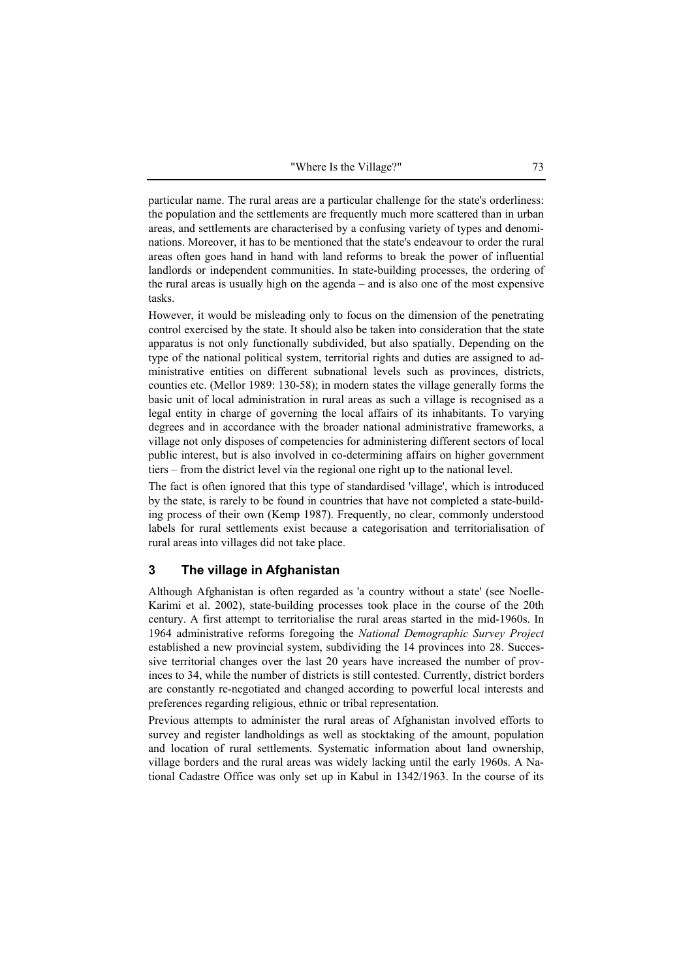particular name. The rural areas are a particular challenge for the state's orderliness: the population and the settlements are frequently much more scattered than in urban areas, and settlements are characterised by a confusing variety of types and denominations. Moreover, it has to be mentioned that the state's endeavour to order the rural areas often goes hand in hand with land reforms to break the power of influential landlords or independent communities. In state-building processes, the ordering of the rural areas is usually high on the agenda – and is also one of the most expensive tasks.

However, it would be misleading only to focus on the dimension of the penetrating control exercised by the state. It should also be taken into consideration that the state apparatus is not only functionally subdivided, but also spatially. Depending on the type of the national political system, territorial rights and duties are assigned to administrative entities on different subnational levels such as provinces, districts, counties etc. (Mellor 1989: 130-58); in modern states the village generally forms the basic unit of local administration in rural areas as such a village is recognised as a legal entity in charge of governing the local affairs of its inhabitants. To varying degrees and in accordance with the broader national administrative frameworks, a village not only disposes of competencies for administering different sectors of local public interest, but is also involved in co-determining affairs on higher government tiers – from the district level via the regional one right up to the national level.

The fact is often ignored that this type of standardised 'village', which is introduced by the state, is rarely to be found in countries that have not completed a state-building process of their own (Kemp 1987). Frequently, no clear, commonly understood labels for rural settlements exist because a categorisation and territorialisation of rural areas into villages did not take place.

## **3 The village in Afghanistan**

Although Afghanistan is often regarded as 'a country without a state' (see Noelle-Karimi et al. 2002), state-building processes took place in the course of the 20th century. A first attempt to territorialise the rural areas started in the mid-1960s. In 1964 administrative reforms foregoing the *National Demographic Survey Project* established a new provincial system, subdividing the 14 provinces into 28. Successive territorial changes over the last 20 years have increased the number of provinces to 34, while the number of districts is still contested. Currently, district borders are constantly re-negotiated and changed according to powerful local interests and preferences regarding religious, ethnic or tribal representation.

Previous attempts to administer the rural areas of Afghanistan involved efforts to survey and register landholdings as well as stocktaking of the amount, population and location of rural settlements. Systematic information about land ownership, village borders and the rural areas was widely lacking until the early 1960s. A National Cadastre Office was only set up in Kabul in 1342/1963. In the course of its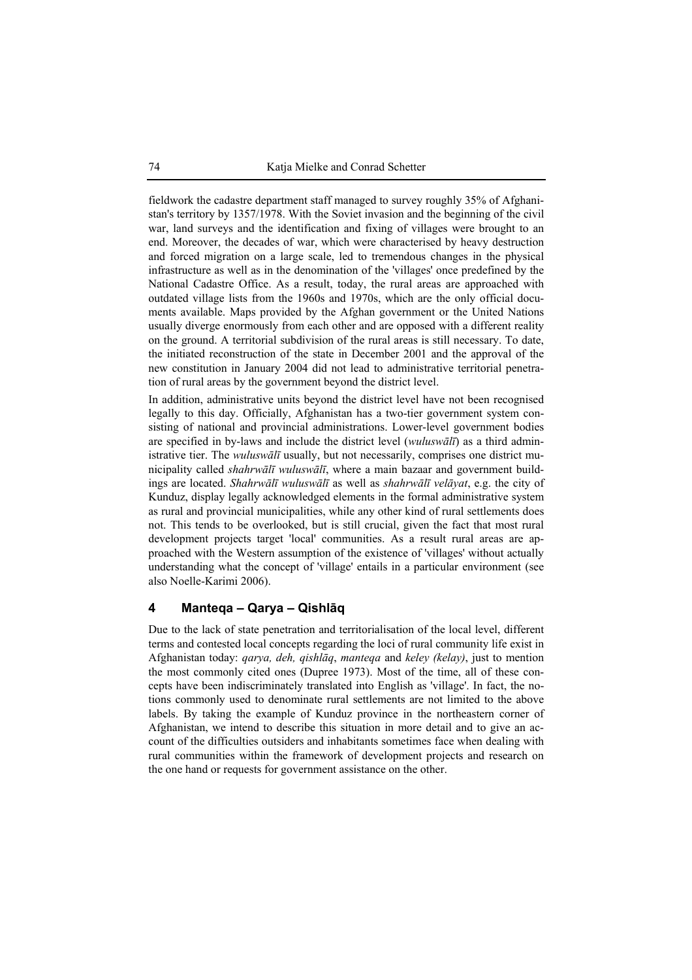fieldwork the cadastre department staff managed to survey roughly 35% of Afghanistan's territory by 1357/1978. With the Soviet invasion and the beginning of the civil war, land surveys and the identification and fixing of villages were brought to an end. Moreover, the decades of war, which were characterised by heavy destruction and forced migration on a large scale, led to tremendous changes in the physical infrastructure as well as in the denomination of the 'villages' once predefined by the National Cadastre Office. As a result, today, the rural areas are approached with outdated village lists from the 1960s and 1970s, which are the only official documents available. Maps provided by the Afghan government or the United Nations usually diverge enormously from each other and are opposed with a different reality on the ground. A territorial subdivision of the rural areas is still necessary. To date, the initiated reconstruction of the state in December 2001 and the approval of the new constitution in January 2004 did not lead to administrative territorial penetration of rural areas by the government beyond the district level.

In addition, administrative units beyond the district level have not been recognised legally to this day. Officially, Afghanistan has a two-tier government system consisting of national and provincial administrations. Lower-level government bodies are specified in by-laws and include the district level (*wuluswālī*) as a third administrative tier. The *wuluswālī* usually, but not necessarily, comprises one district municipality called *shahrwālī wuluswālī*, where a main bazaar and government buildings are located. *Shahrwālī wuluswālī* as well as *shahrwālī velāyat*, e.g. the city of Kunduz, display legally acknowledged elements in the formal administrative system as rural and provincial municipalities, while any other kind of rural settlements does not. This tends to be overlooked, but is still crucial, given the fact that most rural development projects target 'local' communities. As a result rural areas are approached with the Western assumption of the existence of 'villages' without actually understanding what the concept of 'village' entails in a particular environment (see also Noelle-Karimi 2006).

# **4 Manteqa – Qarya – Qishlāq**

Due to the lack of state penetration and territorialisation of the local level, different terms and contested local concepts regarding the loci of rural community life exist in Afghanistan today: *qarya, deh, qishlāq*, *manteqa* and *keley (kelay)*, just to mention the most commonly cited ones (Dupree 1973). Most of the time, all of these concepts have been indiscriminately translated into English as 'village'. In fact, the notions commonly used to denominate rural settlements are not limited to the above labels. By taking the example of Kunduz province in the northeastern corner of Afghanistan, we intend to describe this situation in more detail and to give an account of the difficulties outsiders and inhabitants sometimes face when dealing with rural communities within the framework of development projects and research on the one hand or requests for government assistance on the other.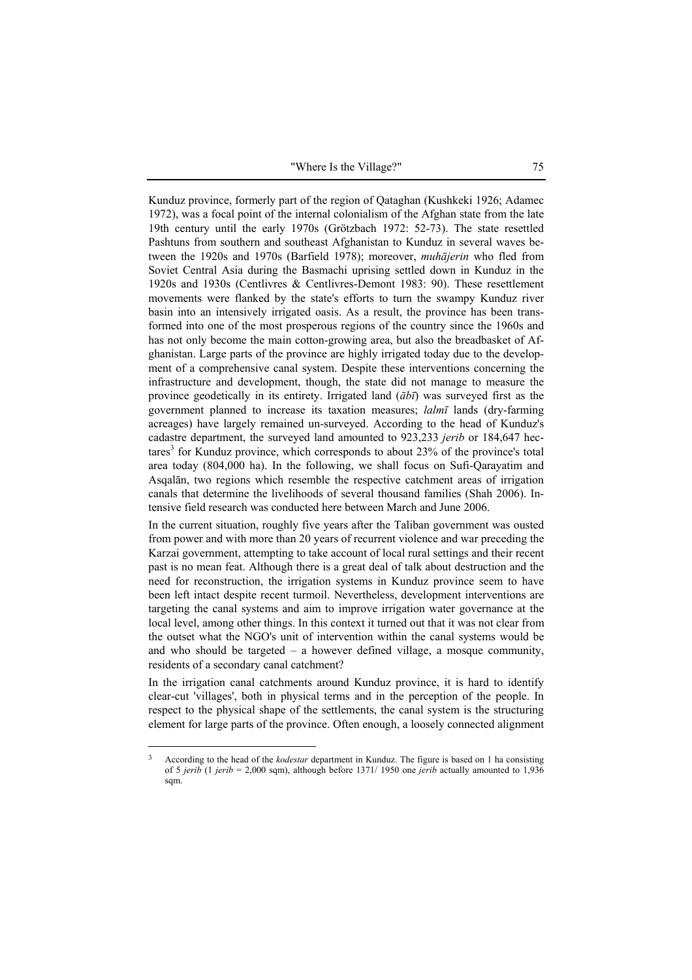"Where Is the Village?" 75

Kunduz province, formerly part of the region of Qataghan (Kushkeki 1926; Adamec 1972), was a focal point of the internal colonialism of the Afghan state from the late 19th century until the early 1970s (Grötzbach 1972: 52-73). The state resettled Pashtuns from southern and southeast Afghanistan to Kunduz in several waves between the 1920s and 1970s (Barfield 1978); moreover, *muhājerin* who fled from Soviet Central Asia during the Basmachi uprising settled down in Kunduz in the 1920s and 1930s (Centlivres & Centlivres-Demont 1983: 90). These resettlement movements were flanked by the state's efforts to turn the swampy Kunduz river basin into an intensively irrigated oasis. As a result, the province has been transformed into one of the most prosperous regions of the country since the 1960s and has not only become the main cotton-growing area, but also the breadbasket of Afghanistan. Large parts of the province are highly irrigated today due to the development of a comprehensive canal system. Despite these interventions concerning the infrastructure and development, though, the state did not manage to measure the province geodetically in its entirety. Irrigated land (*ābī*) was surveyed first as the government planned to increase its taxation measures; *lalmī* lands (dry-farming acreages) have largely remained un-surveyed. According to the head of Kunduz's cadastre department, the surveyed land amounted to 923,233 *jerib* or 184,647 hectares<sup>3</sup> for Kunduz province, which corresponds to about 23% of the province's total area today (804,000 ha). In the following, we shall focus on Sufi-Qarayatim and Asqalān, two regions which resemble the respective catchment areas of irrigation canals that determine the livelihoods of several thousand families (Shah 2006). Intensive field research was conducted here between March and June 2006.

In the current situation, roughly five years after the Taliban government was ousted from power and with more than 20 years of recurrent violence and war preceding the Karzai government, attempting to take account of local rural settings and their recent past is no mean feat. Although there is a great deal of talk about destruction and the need for reconstruction, the irrigation systems in Kunduz province seem to have been left intact despite recent turmoil. Nevertheless, development interventions are targeting the canal systems and aim to improve irrigation water governance at the local level, among other things. In this context it turned out that it was not clear from the outset what the NGO's unit of intervention within the canal systems would be and who should be targeted – a however defined village, a mosque community, residents of a secondary canal catchment?

In the irrigation canal catchments around Kunduz province, it is hard to identify clear-cut 'villages', both in physical terms and in the perception of the people. In respect to the physical shape of the settlements, the canal system is the structuring element for large parts of the province. Often enough, a loosely connected alignment

<sup>3</sup> According to the head of the *kodestar* department in Kunduz. The figure is based on 1 ha consisting of 5 *jerib* (1 *jerib* = 2,000 sqm), although before 1371/ 1950 one *jerib* actually amounted to 1,936 sqm.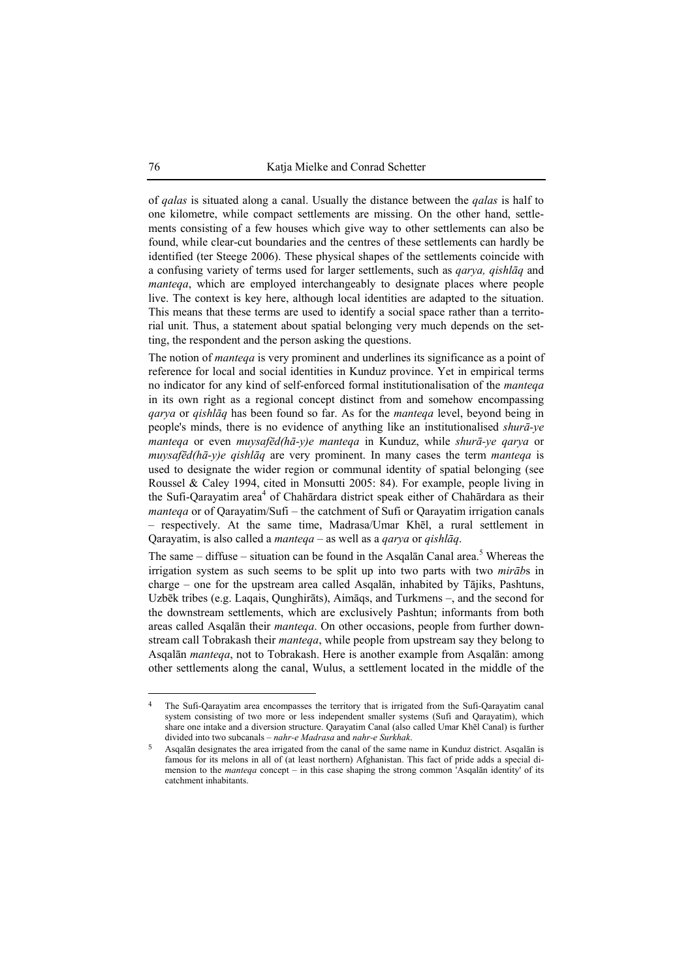of *qalas* is situated along a canal. Usually the distance between the *qalas* is half to one kilometre, while compact settlements are missing. On the other hand, settlements consisting of a few houses which give way to other settlements can also be found, while clear-cut boundaries and the centres of these settlements can hardly be identified (ter Steege 2006). These physical shapes of the settlements coincide with a confusing variety of terms used for larger settlements, such as *qarya, qishlāq* and *manteqa*, which are employed interchangeably to designate places where people live. The context is key here, although local identities are adapted to the situation. This means that these terms are used to identify a social space rather than a territorial unit. Thus, a statement about spatial belonging very much depends on the setting, the respondent and the person asking the questions.

The notion of *manteqa* is very prominent and underlines its significance as a point of reference for local and social identities in Kunduz province. Yet in empirical terms no indicator for any kind of self-enforced formal institutionalisation of the *manteqa* in its own right as a regional concept distinct from and somehow encompassing *qarya* or *qishlāq* has been found so far. As for the *manteqa* level, beyond being in people's minds, there is no evidence of anything like an institutionalised *shurā-ye manteqa* or even *muysafēd(hā-y)e manteqa* in Kunduz, while *shurā-ye qarya* or *muysafēd(hā-y)e qishlāq* are very prominent. In many cases the term *manteqa* is used to designate the wider region or communal identity of spatial belonging (see Roussel & Caley 1994, cited in Monsutti 2005: 84). For example, people living in the Sufi-Qarayatim area<sup>4</sup> of Chahārdara district speak either of Chahārdara as their *manteqa* or of Qarayatim/Sufi – the catchment of Sufi or Qarayatim irrigation canals – respectively. At the same time, Madrasa/Umar Khēl, a rural settlement in Qarayatim, is also called a *manteqa* – as well as a *qarya* or *qishlāq*.

The same  $-$  diffuse  $-$  situation can be found in the Asqalan Canal area.<sup>5</sup> Whereas the irrigation system as such seems to be split up into two parts with two *mirāb*s in charge – one for the upstream area called Asqalān, inhabited by Tājiks, Pashtuns, Uzbēk tribes (e.g. Laqais, Qunghirāts), Aimāqs, and Turkmens –, and the second for the downstream settlements, which are exclusively Pashtun; informants from both areas called Asqalān their *manteqa*. On other occasions, people from further downstream call Tobrakash their *manteqa*, while people from upstream say they belong to Asqalān *manteqa*, not to Tobrakash. Here is another example from Asqalān: among other settlements along the canal, Wulus, a settlement located in the middle of the

<sup>4</sup> The Sufi-Qarayatim area encompasses the territory that is irrigated from the Sufi-Qarayatim canal system consisting of two more or less independent smaller systems (Sufi and Qarayatim), which share one intake and a diversion structure. Qarayatim Canal (also called Umar Khēl Canal) is further divided into two subcanals – *nahr-e Madrasa* and *nahr-e Surkhak*.

<sup>5</sup> Asqalān designates the area irrigated from the canal of the same name in Kunduz district. Asqalān is famous for its melons in all of (at least northern) Afghanistan. This fact of pride adds a special dimension to the *manteqa* concept – in this case shaping the strong common 'Asqalān identity' of its catchment inhabitants.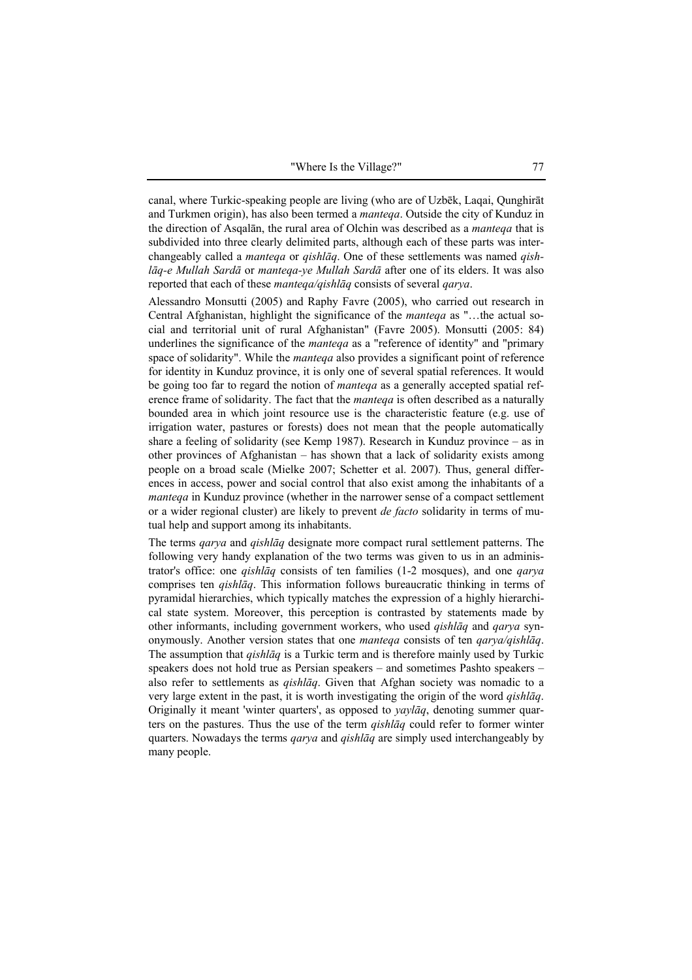canal, where Turkic-speaking people are living (who are of Uzbēk, Laqai, Qunghirāt and Turkmen origin), has also been termed a *manteqa*. Outside the city of Kunduz in the direction of Asqalān, the rural area of Olchin was described as a *manteqa* that is subdivided into three clearly delimited parts, although each of these parts was interchangeably called a *manteqa* or *qishlāq*. One of these settlements was named *qishlāq-e Mullah Sardā* or *manteqa-ye Mullah Sardā* after one of its elders. It was also reported that each of these *manteqa/qishlāq* consists of several *qarya*.

Alessandro Monsutti (2005) and Raphy Favre (2005), who carried out research in Central Afghanistan, highlight the significance of the *manteqa* as "…the actual social and territorial unit of rural Afghanistan" (Favre 2005). Monsutti (2005: 84) underlines the significance of the *manteqa* as a "reference of identity" and "primary space of solidarity". While the *manteqa* also provides a significant point of reference for identity in Kunduz province, it is only one of several spatial references. It would be going too far to regard the notion of *manteqa* as a generally accepted spatial reference frame of solidarity. The fact that the *manteqa* is often described as a naturally bounded area in which joint resource use is the characteristic feature (e.g. use of irrigation water, pastures or forests) does not mean that the people automatically share a feeling of solidarity (see Kemp 1987). Research in Kunduz province – as in other provinces of Afghanistan – has shown that a lack of solidarity exists among people on a broad scale (Mielke 2007; Schetter et al. 2007). Thus, general differences in access, power and social control that also exist among the inhabitants of a *manteqa* in Kunduz province (whether in the narrower sense of a compact settlement or a wider regional cluster) are likely to prevent *de facto* solidarity in terms of mutual help and support among its inhabitants.

The terms *qarya* and *qishlāq* designate more compact rural settlement patterns. The following very handy explanation of the two terms was given to us in an administrator's office: one *qishlāq* consists of ten families (1-2 mosques), and one *qarya* comprises ten *qishlāq*. This information follows bureaucratic thinking in terms of pyramidal hierarchies, which typically matches the expression of a highly hierarchical state system. Moreover, this perception is contrasted by statements made by other informants, including government workers, who used *qishlāq* and *qarya* synonymously. Another version states that one *manteqa* consists of ten *qarya/qishlāq*. The assumption that *qishlāq* is a Turkic term and is therefore mainly used by Turkic speakers does not hold true as Persian speakers – and sometimes Pashto speakers – also refer to settlements as *qishlāq*. Given that Afghan society was nomadic to a very large extent in the past, it is worth investigating the origin of the word *qishlāq*. Originally it meant 'winter quarters', as opposed to *yaylāq*, denoting summer quarters on the pastures. Thus the use of the term *qishlāq* could refer to former winter quarters. Nowadays the terms *qarya* and *qishlāq* are simply used interchangeably by many people.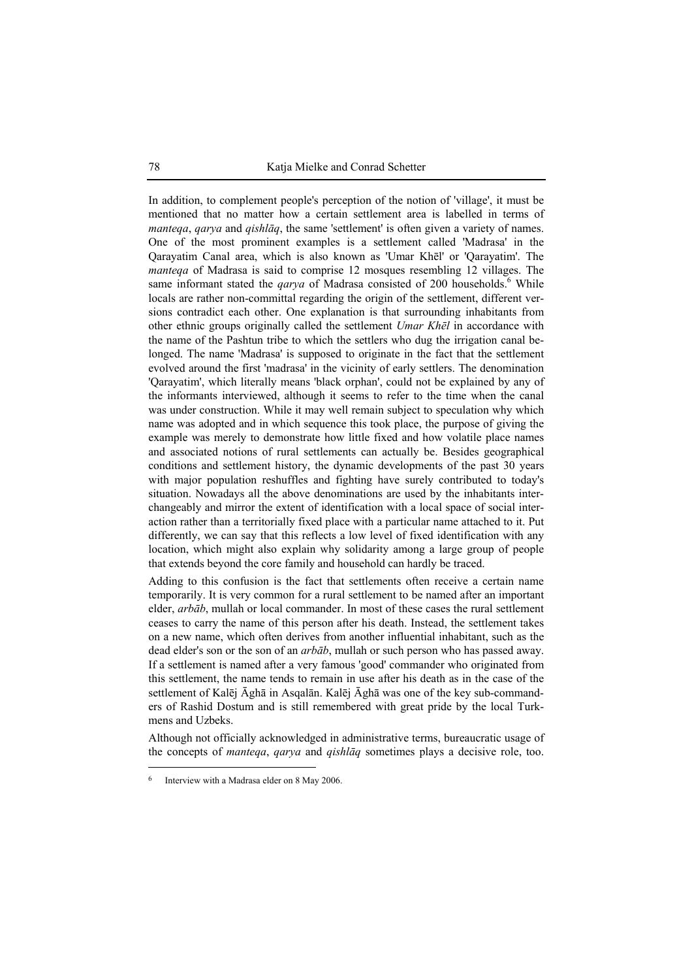In addition, to complement people's perception of the notion of 'village', it must be mentioned that no matter how a certain settlement area is labelled in terms of *manteqa*, *qarya* and *qishlāq*, the same 'settlement' is often given a variety of names. One of the most prominent examples is a settlement called 'Madrasa' in the Qarayatim Canal area, which is also known as 'Umar Khēl' or 'Qarayatim'. The *manteqa* of Madrasa is said to comprise 12 mosques resembling 12 villages. The same informant stated the *qarya* of Madrasa consisted of 200 households.<sup>6</sup> While locals are rather non-committal regarding the origin of the settlement, different versions contradict each other. One explanation is that surrounding inhabitants from other ethnic groups originally called the settlement *Umar Khēl* in accordance with the name of the Pashtun tribe to which the settlers who dug the irrigation canal belonged. The name 'Madrasa' is supposed to originate in the fact that the settlement evolved around the first 'madrasa' in the vicinity of early settlers. The denomination 'Qarayatim', which literally means 'black orphan', could not be explained by any of the informants interviewed, although it seems to refer to the time when the canal was under construction. While it may well remain subject to speculation why which name was adopted and in which sequence this took place, the purpose of giving the example was merely to demonstrate how little fixed and how volatile place names and associated notions of rural settlements can actually be. Besides geographical conditions and settlement history, the dynamic developments of the past 30 years with major population reshuffles and fighting have surely contributed to today's situation. Nowadays all the above denominations are used by the inhabitants interchangeably and mirror the extent of identification with a local space of social interaction rather than a territorially fixed place with a particular name attached to it. Put differently, we can say that this reflects a low level of fixed identification with any location, which might also explain why solidarity among a large group of people that extends beyond the core family and household can hardly be traced.

Adding to this confusion is the fact that settlements often receive a certain name temporarily. It is very common for a rural settlement to be named after an important elder, *arbāb*, mullah or local commander. In most of these cases the rural settlement ceases to carry the name of this person after his death. Instead, the settlement takes on a new name, which often derives from another influential inhabitant, such as the dead elder's son or the son of an *arbāb*, mullah or such person who has passed away. If a settlement is named after a very famous 'good' commander who originated from this settlement, the name tends to remain in use after his death as in the case of the settlement of Kalēj Āghā in Asqalān. Kalēj Āghā was one of the key sub-commanders of Rashid Dostum and is still remembered with great pride by the local Turkmens and Uzbeks.

Although not officially acknowledged in administrative terms, bureaucratic usage of the concepts of *manteqa*, *qarya* and *qishlāq* sometimes plays a decisive role, too.

<sup>6</sup> Interview with a Madrasa elder on 8 May 2006.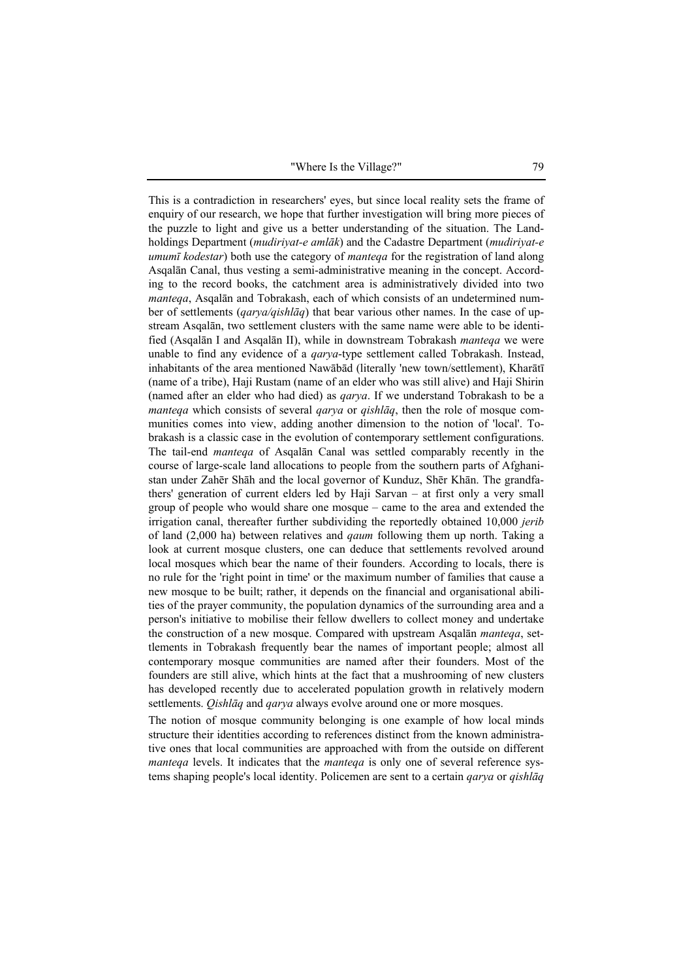"Where Is the Village?" 79

This is a contradiction in researchers' eyes, but since local reality sets the frame of enquiry of our research, we hope that further investigation will bring more pieces of the puzzle to light and give us a better understanding of the situation. The Landholdings Department (*mudiriyat-e amlāk*) and the Cadastre Department (*mudiriyat-e umumī kodestar*) both use the category of *manteqa* for the registration of land along Asqalān Canal, thus vesting a semi-administrative meaning in the concept. According to the record books, the catchment area is administratively divided into two *manteqa*, Asqalān and Tobrakash, each of which consists of an undetermined number of settlements (*qarya/qishlāq*) that bear various other names. In the case of upstream Asqalān, two settlement clusters with the same name were able to be identified (Asqalān I and Asqalān II), while in downstream Tobrakash *manteqa* we were unable to find any evidence of a *qarya*-type settlement called Tobrakash. Instead, inhabitants of the area mentioned Nawābād (literally 'new town/settlement), Kharātī (name of a tribe), Haji Rustam (name of an elder who was still alive) and Haji Shirin (named after an elder who had died) as *qarya*. If we understand Tobrakash to be a *manteqa* which consists of several *qarya* or *qishlāq*, then the role of mosque communities comes into view, adding another dimension to the notion of 'local'. Tobrakash is a classic case in the evolution of contemporary settlement configurations. The tail-end *manteqa* of Asqalān Canal was settled comparably recently in the course of large-scale land allocations to people from the southern parts of Afghanistan under Zahēr Shāh and the local governor of Kunduz, Shēr Khān. The grandfathers' generation of current elders led by Haji Sarvan – at first only a very small group of people who would share one mosque – came to the area and extended the irrigation canal, thereafter further subdividing the reportedly obtained 10,000 *jerib*  of land (2,000 ha) between relatives and *qaum* following them up north. Taking a look at current mosque clusters, one can deduce that settlements revolved around local mosques which bear the name of their founders. According to locals, there is no rule for the 'right point in time' or the maximum number of families that cause a new mosque to be built; rather, it depends on the financial and organisational abilities of the prayer community, the population dynamics of the surrounding area and a person's initiative to mobilise their fellow dwellers to collect money and undertake the construction of a new mosque. Compared with upstream Asqalān *manteqa*, settlements in Tobrakash frequently bear the names of important people; almost all contemporary mosque communities are named after their founders. Most of the founders are still alive, which hints at the fact that a mushrooming of new clusters has developed recently due to accelerated population growth in relatively modern settlements. *Qishlāq* and *qarya* always evolve around one or more mosques.

The notion of mosque community belonging is one example of how local minds structure their identities according to references distinct from the known administrative ones that local communities are approached with from the outside on different *manteqa* levels. It indicates that the *manteqa* is only one of several reference systems shaping people's local identity. Policemen are sent to a certain *qarya* or *qishlāq*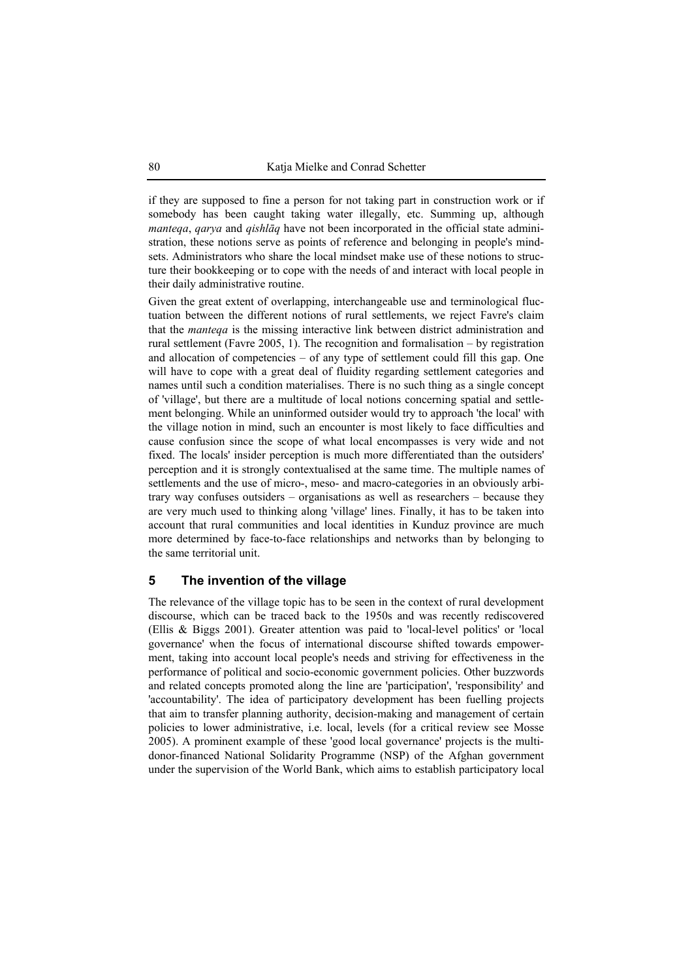if they are supposed to fine a person for not taking part in construction work or if somebody has been caught taking water illegally, etc. Summing up, although *manteqa*, *qarya* and *qishlāq* have not been incorporated in the official state administration, these notions serve as points of reference and belonging in people's mindsets. Administrators who share the local mindset make use of these notions to structure their bookkeeping or to cope with the needs of and interact with local people in their daily administrative routine.

Given the great extent of overlapping, interchangeable use and terminological fluctuation between the different notions of rural settlements, we reject Favre's claim that the *manteqa* is the missing interactive link between district administration and rural settlement (Favre 2005, 1). The recognition and formalisation – by registration and allocation of competencies – of any type of settlement could fill this gap. One will have to cope with a great deal of fluidity regarding settlement categories and names until such a condition materialises. There is no such thing as a single concept of 'village', but there are a multitude of local notions concerning spatial and settlement belonging. While an uninformed outsider would try to approach 'the local' with the village notion in mind, such an encounter is most likely to face difficulties and cause confusion since the scope of what local encompasses is very wide and not fixed. The locals' insider perception is much more differentiated than the outsiders' perception and it is strongly contextualised at the same time. The multiple names of settlements and the use of micro-, meso- and macro-categories in an obviously arbitrary way confuses outsiders – organisations as well as researchers – because they are very much used to thinking along 'village' lines. Finally, it has to be taken into account that rural communities and local identities in Kunduz province are much more determined by face-to-face relationships and networks than by belonging to the same territorial unit.

### **5 The invention of the village**

The relevance of the village topic has to be seen in the context of rural development discourse, which can be traced back to the 1950s and was recently rediscovered (Ellis & Biggs 2001). Greater attention was paid to 'local-level politics' or 'local governance' when the focus of international discourse shifted towards empowerment, taking into account local people's needs and striving for effectiveness in the performance of political and socio-economic government policies. Other buzzwords and related concepts promoted along the line are 'participation', 'responsibility' and 'accountability'. The idea of participatory development has been fuelling projects that aim to transfer planning authority, decision-making and management of certain policies to lower administrative, i.e. local, levels (for a critical review see Mosse 2005). A prominent example of these 'good local governance' projects is the multidonor-financed National Solidarity Programme (NSP) of the Afghan government under the supervision of the World Bank, which aims to establish participatory local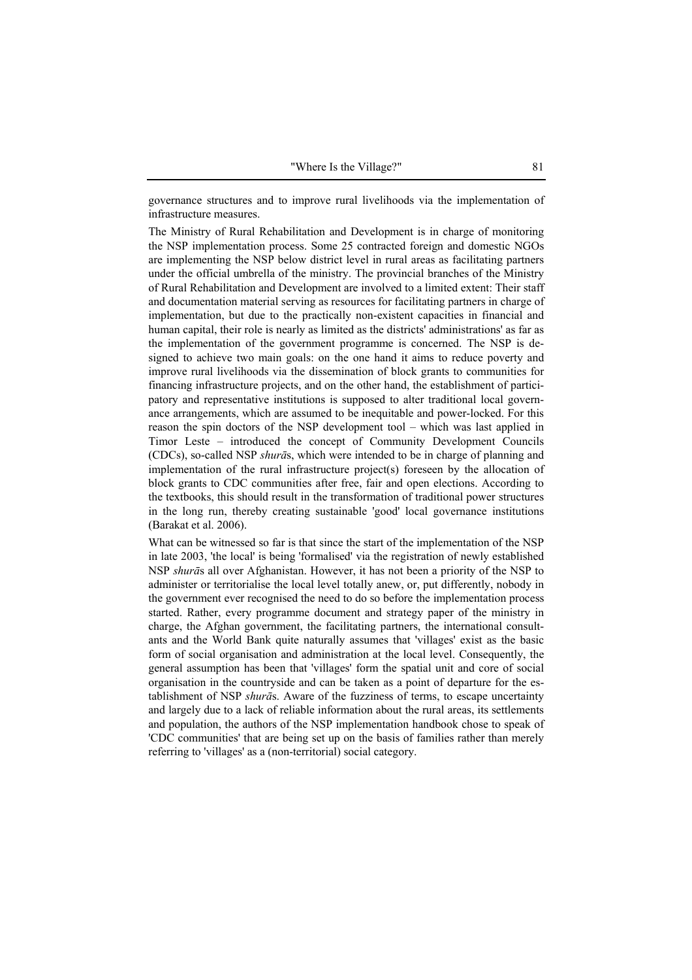governance structures and to improve rural livelihoods via the implementation of infrastructure measures.

The Ministry of Rural Rehabilitation and Development is in charge of monitoring the NSP implementation process. Some 25 contracted foreign and domestic NGOs are implementing the NSP below district level in rural areas as facilitating partners under the official umbrella of the ministry. The provincial branches of the Ministry of Rural Rehabilitation and Development are involved to a limited extent: Their staff and documentation material serving as resources for facilitating partners in charge of implementation, but due to the practically non-existent capacities in financial and human capital, their role is nearly as limited as the districts' administrations' as far as the implementation of the government programme is concerned. The NSP is designed to achieve two main goals: on the one hand it aims to reduce poverty and improve rural livelihoods via the dissemination of block grants to communities for financing infrastructure projects, and on the other hand, the establishment of participatory and representative institutions is supposed to alter traditional local governance arrangements, which are assumed to be inequitable and power-locked. For this reason the spin doctors of the NSP development tool – which was last applied in Timor Leste – introduced the concept of Community Development Councils (CDCs), so-called NSP *shurā*s, which were intended to be in charge of planning and implementation of the rural infrastructure project(s) foreseen by the allocation of block grants to CDC communities after free, fair and open elections. According to the textbooks, this should result in the transformation of traditional power structures in the long run, thereby creating sustainable 'good' local governance institutions (Barakat et al. 2006).

What can be witnessed so far is that since the start of the implementation of the NSP in late 2003, 'the local' is being 'formalised' via the registration of newly established NSP *shurā*s all over Afghanistan. However, it has not been a priority of the NSP to administer or territorialise the local level totally anew, or, put differently, nobody in the government ever recognised the need to do so before the implementation process started. Rather, every programme document and strategy paper of the ministry in charge, the Afghan government, the facilitating partners, the international consultants and the World Bank quite naturally assumes that 'villages' exist as the basic form of social organisation and administration at the local level. Consequently, the general assumption has been that 'villages' form the spatial unit and core of social organisation in the countryside and can be taken as a point of departure for the establishment of NSP *shurā*s. Aware of the fuzziness of terms, to escape uncertainty and largely due to a lack of reliable information about the rural areas, its settlements and population, the authors of the NSP implementation handbook chose to speak of 'CDC communities' that are being set up on the basis of families rather than merely referring to 'villages' as a (non-territorial) social category.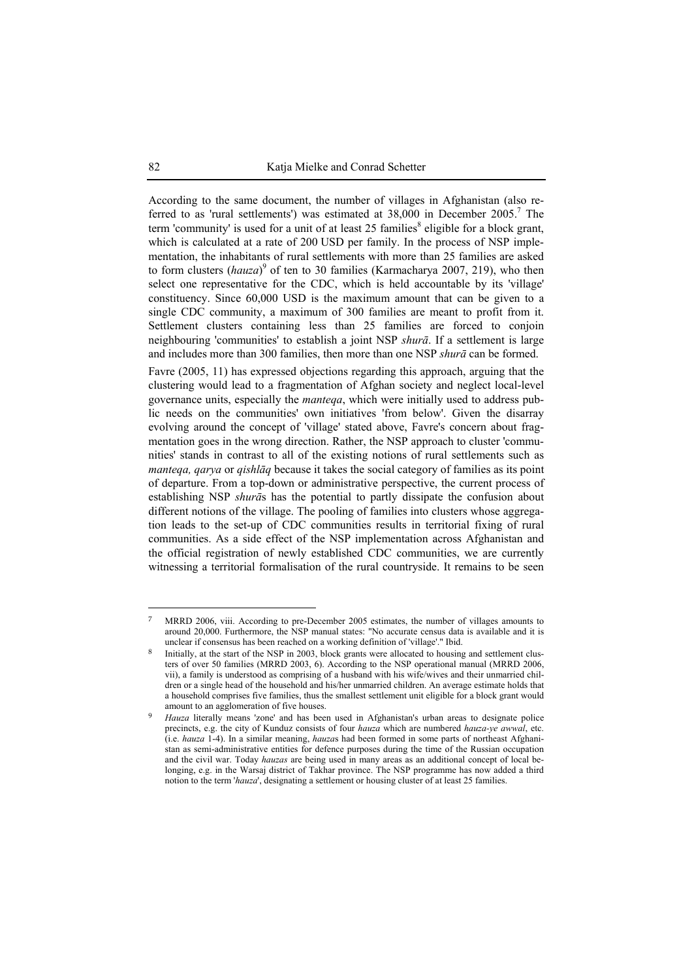According to the same document, the number of villages in Afghanistan (also referred to as 'rural settlements') was estimated at  $38,000$  in December  $2005$ .<sup>7</sup> The term 'community' is used for a unit of at least 25 families<sup>8</sup> eligible for a block grant, which is calculated at a rate of 200 USD per family. In the process of NSP implementation, the inhabitants of rural settlements with more than 25 families are asked to form clusters (hauza)<sup>9</sup> of ten to 30 families (Karmacharya 2007, 219), who then select one representative for the CDC, which is held accountable by its 'village' constituency. Since 60,000 USD is the maximum amount that can be given to a single CDC community, a maximum of 300 families are meant to profit from it. Settlement clusters containing less than 25 families are forced to conjoin neighbouring 'communities' to establish a joint NSP *shurā*. If a settlement is large and includes more than 300 families, then more than one NSP *shurā* can be formed.

Favre (2005, 11) has expressed objections regarding this approach, arguing that the clustering would lead to a fragmentation of Afghan society and neglect local-level governance units, especially the *manteqa*, which were initially used to address public needs on the communities' own initiatives 'from below'. Given the disarray evolving around the concept of 'village' stated above, Favre's concern about fragmentation goes in the wrong direction. Rather, the NSP approach to cluster 'communities' stands in contrast to all of the existing notions of rural settlements such as *manteqa, qarya* or *qishlāq* because it takes the social category of families as its point of departure. From a top-down or administrative perspective, the current process of establishing NSP *shurā*s has the potential to partly dissipate the confusion about different notions of the village. The pooling of families into clusters whose aggregation leads to the set-up of CDC communities results in territorial fixing of rural communities. As a side effect of the NSP implementation across Afghanistan and the official registration of newly established CDC communities, we are currently witnessing a territorial formalisation of the rural countryside. It remains to be seen

<sup>7</sup> MRRD 2006, viii. According to pre-December 2005 estimates, the number of villages amounts to around 20,000. Furthermore, the NSP manual states: "No accurate census data is available and it is unclear if consensus has been reached on a working definition of 'village'." Ibid.

Initially, at the start of the NSP in 2003, block grants were allocated to housing and settlement clusters of over 50 families (MRRD 2003, 6). According to the NSP operational manual (MRRD 2006, vii), a family is understood as comprising of a husband with his wife/wives and their unmarried children or a single head of the household and his/her unmarried children. An average estimate holds that a household comprises five families, thus the smallest settlement unit eligible for a block grant would amount to an agglomeration of five houses.

<sup>9</sup> *Hauza* literally means 'zone' and has been used in Afghanistan's urban areas to designate police precincts, e.g. the city of Kunduz consists of four *hauza* which are numbered *hauza-ye awwal*, etc. (i.e. *hauza* 1-4). In a similar meaning, *hauza*s had been formed in some parts of northeast Afghanistan as semi-administrative entities for defence purposes during the time of the Russian occupation and the civil war. Today *hauzas* are being used in many areas as an additional concept of local belonging, e.g. in the Warsaj district of Takhar province. The NSP programme has now added a third notion to the term '*hauza*', designating a settlement or housing cluster of at least 25 families.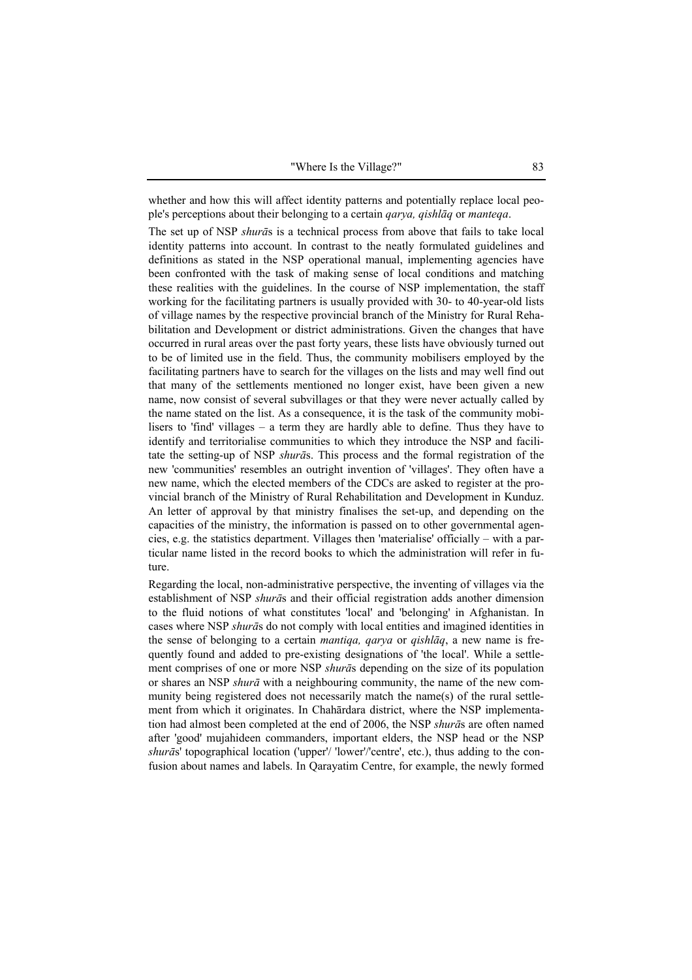whether and how this will affect identity patterns and potentially replace local people's perceptions about their belonging to a certain *qarya, qishlāq* or *manteqa*.

The set up of NSP *shurā*s is a technical process from above that fails to take local identity patterns into account. In contrast to the neatly formulated guidelines and definitions as stated in the NSP operational manual, implementing agencies have been confronted with the task of making sense of local conditions and matching these realities with the guidelines. In the course of NSP implementation, the staff working for the facilitating partners is usually provided with 30- to 40-year-old lists of village names by the respective provincial branch of the Ministry for Rural Rehabilitation and Development or district administrations. Given the changes that have occurred in rural areas over the past forty years, these lists have obviously turned out to be of limited use in the field. Thus, the community mobilisers employed by the facilitating partners have to search for the villages on the lists and may well find out that many of the settlements mentioned no longer exist, have been given a new name, now consist of several subvillages or that they were never actually called by the name stated on the list. As a consequence, it is the task of the community mobilisers to 'find' villages – a term they are hardly able to define. Thus they have to identify and territorialise communities to which they introduce the NSP and facilitate the setting-up of NSP *shurā*s. This process and the formal registration of the new 'communities' resembles an outright invention of 'villages'. They often have a new name, which the elected members of the CDCs are asked to register at the provincial branch of the Ministry of Rural Rehabilitation and Development in Kunduz. An letter of approval by that ministry finalises the set-up, and depending on the capacities of the ministry, the information is passed on to other governmental agencies, e.g. the statistics department. Villages then 'materialise' officially – with a particular name listed in the record books to which the administration will refer in future.

Regarding the local, non-administrative perspective, the inventing of villages via the establishment of NSP *shurā*s and their official registration adds another dimension to the fluid notions of what constitutes 'local' and 'belonging' in Afghanistan. In cases where NSP *shurā*s do not comply with local entities and imagined identities in the sense of belonging to a certain *mantiqa, qarya* or *qishlāq*, a new name is frequently found and added to pre-existing designations of 'the local'. While a settlement comprises of one or more NSP *shurā*s depending on the size of its population or shares an NSP *shurā* with a neighbouring community, the name of the new community being registered does not necessarily match the name(s) of the rural settlement from which it originates. In Chahārdara district, where the NSP implementation had almost been completed at the end of 2006, the NSP *shurā*s are often named after 'good' mujahideen commanders, important elders, the NSP head or the NSP *shurā*s' topographical location ('upper'/ 'lower'/'centre', etc.), thus adding to the confusion about names and labels. In Qarayatim Centre, for example, the newly formed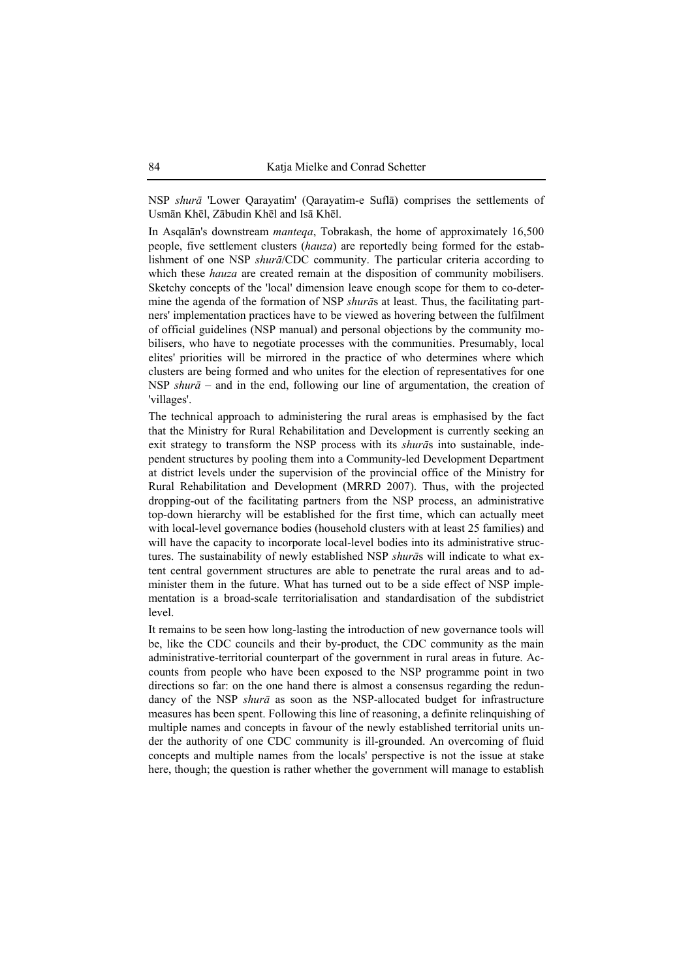NSP *shurā* 'Lower Qarayatim' (Qarayatim-e Suflā) comprises the settlements of Usmān Khēl, Zābudin Khēl and Isā Khēl.

In Asqalān's downstream *manteqa*, Tobrakash, the home of approximately 16,500 people, five settlement clusters (*hauza*) are reportedly being formed for the establishment of one NSP *shurā*/CDC community. The particular criteria according to which these *hauza* are created remain at the disposition of community mobilisers. Sketchy concepts of the 'local' dimension leave enough scope for them to co-determine the agenda of the formation of NSP *shurā*s at least. Thus, the facilitating partners' implementation practices have to be viewed as hovering between the fulfilment of official guidelines (NSP manual) and personal objections by the community mobilisers, who have to negotiate processes with the communities. Presumably, local elites' priorities will be mirrored in the practice of who determines where which clusters are being formed and who unites for the election of representatives for one NSP *shurā* – and in the end, following our line of argumentation, the creation of 'villages'.

The technical approach to administering the rural areas is emphasised by the fact that the Ministry for Rural Rehabilitation and Development is currently seeking an exit strategy to transform the NSP process with its *shurā*s into sustainable, independent structures by pooling them into a Community-led Development Department at district levels under the supervision of the provincial office of the Ministry for Rural Rehabilitation and Development (MRRD 2007). Thus, with the projected dropping-out of the facilitating partners from the NSP process, an administrative top-down hierarchy will be established for the first time, which can actually meet with local-level governance bodies (household clusters with at least 25 families) and will have the capacity to incorporate local-level bodies into its administrative structures. The sustainability of newly established NSP *shurā*s will indicate to what extent central government structures are able to penetrate the rural areas and to administer them in the future. What has turned out to be a side effect of NSP implementation is a broad-scale territorialisation and standardisation of the subdistrict level.

It remains to be seen how long-lasting the introduction of new governance tools will be, like the CDC councils and their by-product, the CDC community as the main administrative-territorial counterpart of the government in rural areas in future. Accounts from people who have been exposed to the NSP programme point in two directions so far: on the one hand there is almost a consensus regarding the redundancy of the NSP *shurā* as soon as the NSP-allocated budget for infrastructure measures has been spent. Following this line of reasoning, a definite relinquishing of multiple names and concepts in favour of the newly established territorial units under the authority of one CDC community is ill-grounded. An overcoming of fluid concepts and multiple names from the locals' perspective is not the issue at stake here, though; the question is rather whether the government will manage to establish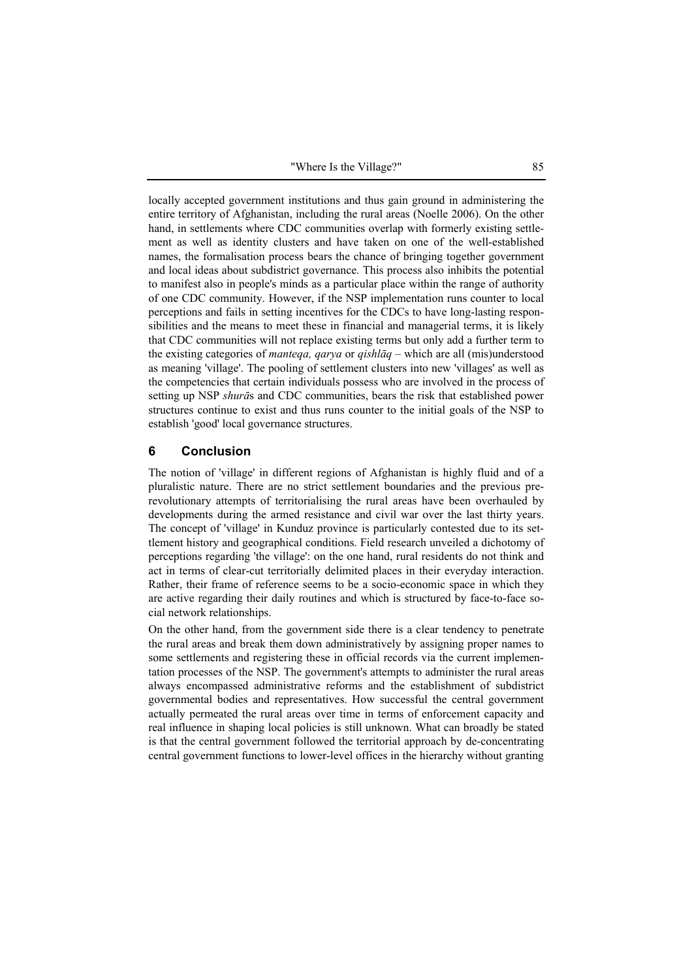locally accepted government institutions and thus gain ground in administering the entire territory of Afghanistan, including the rural areas (Noelle 2006). On the other hand, in settlements where CDC communities overlap with formerly existing settlement as well as identity clusters and have taken on one of the well-established names, the formalisation process bears the chance of bringing together government and local ideas about subdistrict governance. This process also inhibits the potential to manifest also in people's minds as a particular place within the range of authority of one CDC community. However, if the NSP implementation runs counter to local perceptions and fails in setting incentives for the CDCs to have long-lasting responsibilities and the means to meet these in financial and managerial terms, it is likely that CDC communities will not replace existing terms but only add a further term to the existing categories of *manteqa, qarya* or *qishlāq* – which are all (mis)understood as meaning 'village'. The pooling of settlement clusters into new 'villages' as well as the competencies that certain individuals possess who are involved in the process of setting up NSP *shurā*s and CDC communities, bears the risk that established power structures continue to exist and thus runs counter to the initial goals of the NSP to establish 'good' local governance structures.

## **6 Conclusion**

The notion of 'village' in different regions of Afghanistan is highly fluid and of a pluralistic nature. There are no strict settlement boundaries and the previous prerevolutionary attempts of territorialising the rural areas have been overhauled by developments during the armed resistance and civil war over the last thirty years. The concept of 'village' in Kunduz province is particularly contested due to its settlement history and geographical conditions. Field research unveiled a dichotomy of perceptions regarding 'the village': on the one hand, rural residents do not think and act in terms of clear-cut territorially delimited places in their everyday interaction. Rather, their frame of reference seems to be a socio-economic space in which they are active regarding their daily routines and which is structured by face-to-face social network relationships.

On the other hand, from the government side there is a clear tendency to penetrate the rural areas and break them down administratively by assigning proper names to some settlements and registering these in official records via the current implementation processes of the NSP. The government's attempts to administer the rural areas always encompassed administrative reforms and the establishment of subdistrict governmental bodies and representatives. How successful the central government actually permeated the rural areas over time in terms of enforcement capacity and real influence in shaping local policies is still unknown. What can broadly be stated is that the central government followed the territorial approach by de-concentrating central government functions to lower-level offices in the hierarchy without granting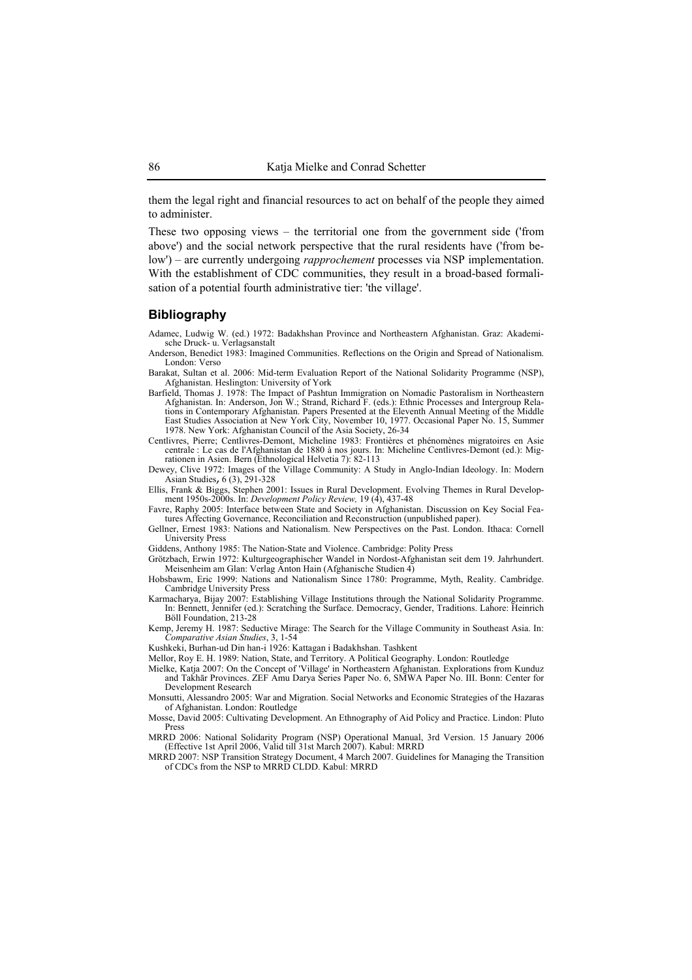them the legal right and financial resources to act on behalf of the people they aimed to administer.

These two opposing views – the territorial one from the government side ('from above') and the social network perspective that the rural residents have ('from below') – are currently undergoing *rapprochement* processes via NSP implementation. With the establishment of CDC communities, they result in a broad-based formalisation of a potential fourth administrative tier: 'the village'.

#### **Bibliography**

Adamec, Ludwig W. (ed.) 1972: Badakhshan Province and Northeastern Afghanistan. Graz: Akademische Druck- u. Verlagsanstalt

- Anderson, Benedict 1983: Imagined Communities. Reflections on the Origin and Spread of Nationalism. London: Verso
- Barakat, Sultan et al. 2006: Mid-term Evaluation Report of the National Solidarity Programme (NSP), Afghanistan. Heslington: University of York
- Barfield, Thomas J. 1978: The Impact of Pashtun Immigration on Nomadic Pastoralism in Northeastern Afghanistan. In: Anderson, Jon W.; Strand, Richard F. (eds.): Ethnic Processes and Intergroup Rela-tions in Contemporary Afghanistan. Papers Presented at the Eleventh Annual Meeting of the Middle East Studies Association at New York City, November 10, 1977. Occasional Paper No. 15, Summer 1978. New York: Afghanistan Council of the Asia Society, 26-34
- Centlivres, Pierre; Centlivres-Demont, Micheline 1983: Frontières et phénomènes migratoires en Asie centrale : Le cas de l'Afghanistan de 1880 à nos jours. In: Micheline Centlivres-Demont (ed.): Migrationen in Asien. Bern (Ethnological Helvetia 7): 82-113
- Dewey, Clive 1972: Images of the Village Community: A Study in Anglo-Indian Ideology. In: Modern Asian Studies, 6 (3), 291-328

Ellis, Frank & Biggs, Stephen 2001: Issues in Rural Development. Evolving Themes in Rural Develop-ment 1950s-2000s. In: *Development Policy Review,* 19 (4), 437-48

Favre, Raphy 2005: Interface between State and Society in Afghanistan. Discussion on Key Social Features Affecting Governance, Reconciliation and Reconstruction (unpublished paper).

Gellner, Ernest 1983: Nations and Nationalism. New Perspectives on the Past. London. Ithaca: Cornell University Press

Giddens, Anthony 1985: The Nation-State and Violence. Cambridge: Polity Press

Grötzbach, Erwin 1972: Kulturgeographischer Wandel in Nordost-Afghanistan seit dem 19. Jahrhundert. Meisenheim am Glan: Verlag Anton Hain (Afghanische Studien 4)

Hobsbawm, Eric 1999: Nations and Nationalism Since 1780: Programme, Myth, Reality. Cambridge. Cambridge University Press

- Karmacharya, Bijay 2007: Establishing Village Institutions through the National Solidarity Programme. In: Bennett, Jennifer (ed.): Scratching the Surface. Democracy, Gender, Traditions. Lahore: Heinrich Böll Foundation, 213-28
- Kemp, Jeremy H. 1987: Seductive Mirage: The Search for the Village Community in Southeast Asia. In: *Comparative Asian Studies*, 3, 1-54
- Kushkeki, Burhan-ud Din han-i 1926: Kattagan i Badakhshan. Tashkent
- Mellor, Roy E. H. 1989: Nation, State, and Territory. A Political Geography. London: Routledge
- Mielke, Katja 2007: On the Concept of 'Village' in Northeastern Afghanistan. Explorations from Kunduz and Takhār Provinces. ZEF Amu Darya Series Paper No. 6, SMWA Paper No. III. Bonn: Center for Development Research
- Monsutti, Alessandro 2005: War and Migration. Social Networks and Economic Strategies of the Hazaras of Afghanistan. London: Routledge
- Mosse, David 2005: Cultivating Development. An Ethnography of Aid Policy and Practice. Lindon: Pluto Press

MRRD 2006: National Solidarity Program (NSP) Operational Manual, 3rd Version. 15 January 2006 (Effective 1st April 2006, Valid till 31st March 2007). Kabul: MRRD

MRRD 2007: NSP Transition Strategy Document, 4 March 2007. Guidelines for Managing the Transition of CDCs from the NSP to MRRD CLDD. Kabul: MRRD